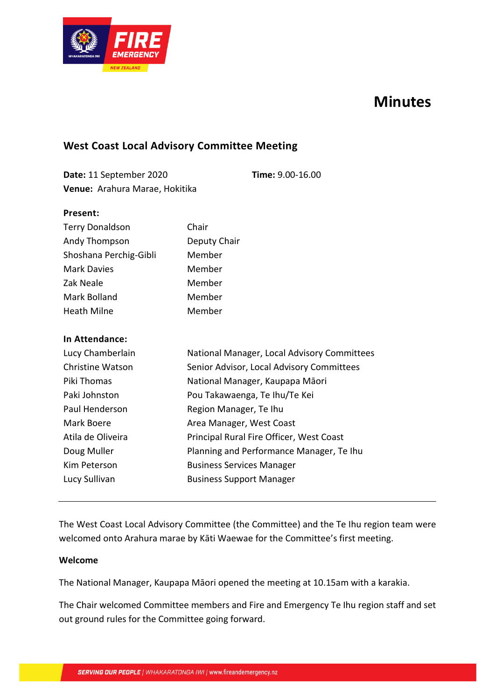

# **Minutes**

## **West Coast Local Advisory Committee Meeting**

**Date:** 11 September 2020 **Time:** 9.00-16.00 **Venue:** Arahura Marae, Hokitika

#### **Present:**

| <b>Terry Donaldson</b> | Chair        |
|------------------------|--------------|
| Andy Thompson          | Deputy Chair |
| Shoshana Perchig-Gibli | Member       |
| <b>Mark Davies</b>     | Member       |
| Zak Neale              | Member       |
| Mark Bolland           | Member       |
| <b>Heath Milne</b>     | Member       |

#### **In Attendance:**

| Lucy Chamberlain        | National Manager, Local Advisory Committees |
|-------------------------|---------------------------------------------|
| <b>Christine Watson</b> | Senior Advisor, Local Advisory Committees   |
| Piki Thomas             | National Manager, Kaupapa Māori             |
| Paki Johnston           | Pou Takawaenga, Te Ihu/Te Kei               |
| Paul Henderson          | Region Manager, Te Ihu                      |
| Mark Boere              | Area Manager, West Coast                    |
| Atila de Oliveira       | Principal Rural Fire Officer, West Coast    |
| Doug Muller             | Planning and Performance Manager, Te Ihu    |
| Kim Peterson            | <b>Business Services Manager</b>            |
| Lucy Sullivan           | <b>Business Support Manager</b>             |

The West Coast Local Advisory Committee (the Committee) and the Te Ihu region team were welcomed onto Arahura marae by Kāti Waewae for the Committee's first meeting.

#### **Welcome**

The National Manager, Kaupapa Māori opened the meeting at 10.15am with a karakia.

The Chair welcomed Committee members and Fire and Emergency Te Ihu region staff and set out ground rules for the Committee going forward.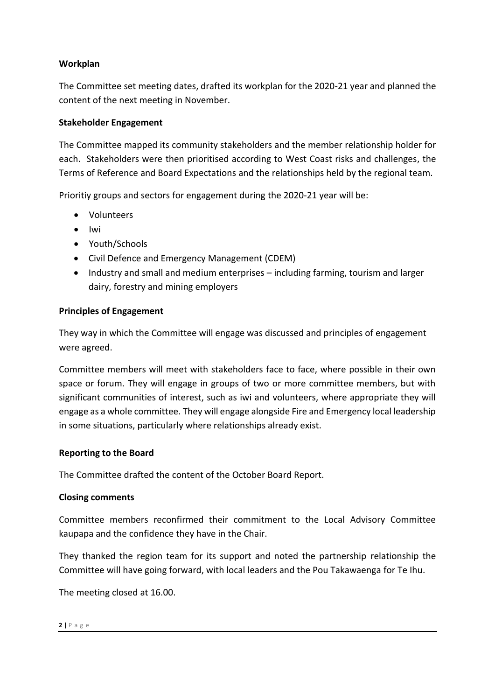## **Workplan**

The Committee set meeting dates, drafted its workplan for the 2020-21 year and planned the content of the next meeting in November.

## **Stakeholder Engagement**

The Committee mapped its community stakeholders and the member relationship holder for each. Stakeholders were then prioritised according to West Coast risks and challenges, the Terms of Reference and Board Expectations and the relationships held by the regional team.

Prioritiy groups and sectors for engagement during the 2020-21 year will be:

- Volunteers
- Iwi
- Youth/Schools
- Civil Defence and Emergency Management (CDEM)
- Industry and small and medium enterprises including farming, tourism and larger dairy, forestry and mining employers

### **Principles of Engagement**

They way in which the Committee will engage was discussed and principles of engagement were agreed.

Committee members will meet with stakeholders face to face, where possible in their own space or forum. They will engage in groups of two or more committee members, but with significant communities of interest, such as iwi and volunteers, where appropriate they will engage as a whole committee. They will engage alongside Fire and Emergency local leadership in some situations, particularly where relationships already exist.

### **Reporting to the Board**

The Committee drafted the content of the October Board Report.

### **Closing comments**

Committee members reconfirmed their commitment to the Local Advisory Committee kaupapa and the confidence they have in the Chair.

They thanked the region team for its support and noted the partnership relationship the Committee will have going forward, with local leaders and the Pou Takawaenga for Te Ihu.

The meeting closed at 16.00.